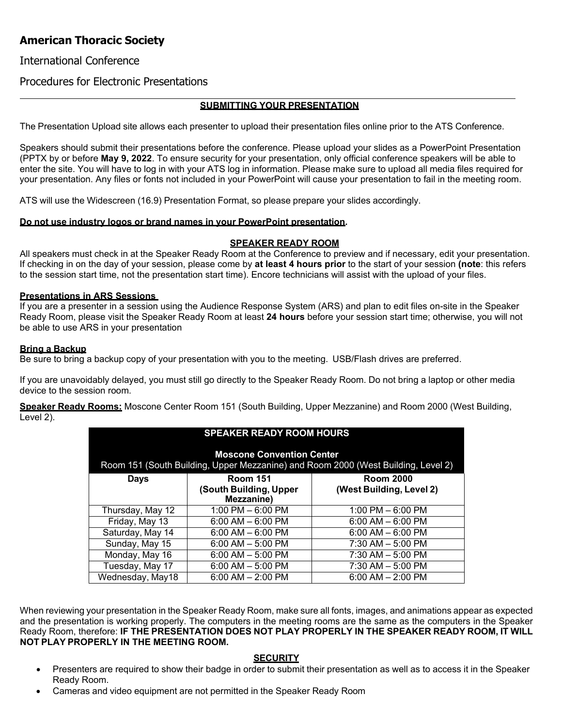# **American Thoracic Society**

## International Conference

## Procedures for Electronic Presentations

### **SUBMITTING YOUR PRESENTATION**

The Presentation Upload site allows each presenter to upload their presentation files online prior to the ATS Conference.

Speakers should submit their presentations before the conference. Please upload your slides as a PowerPoint Presentation (PPTX by or before **May 9, 2022**. To ensure security for your presentation, only official conference speakers will be able to enter the site. You will have to log in with your ATS log in information. Please make sure to upload all media files required for your presentation. Any files or fonts not included in your PowerPoint will cause your presentation to fail in the meeting room.

ATS will use the Widescreen (16.9) Presentation Format, so please prepare your slides accordingly.

### **Do not use industry logos or brand names in your PowerPoint presentation.**

### **SPEAKER READY ROOM**

All speakers must check in at the Speaker Ready Room at the Conference to preview and if necessary, edit your presentation. If checking in on the day of your session, please come by **at least 4 hours prior** to the start of your session **(note**: this refers to the session start time, not the presentation start time). Encore technicians will assist with the upload of your files.

### **Presentations in ARS Sessions**

If you are a presenter in a session using the Audience Response System (ARS) and plan to edit files on-site in the Speaker Ready Room, please visit the Speaker Ready Room at least **24 hours** before your session start time; otherwise, you will not be able to use ARS in your presentation

### **Bring a Backup**

Be sure to bring a backup copy of your presentation with you to the meeting. USB/Flash drives are preferred.

If you are unavoidably delayed, you must still go directly to the Speaker Ready Room. Do not bring a laptop or other media device to the session room.

**Speaker Ready Rooms:** Moscone Center Room 151 (South Building, Upper Mezzanine) and Room 2000 (West Building, Level 2).

| <b>SPEAKER READY ROOM HOURS</b>                                                                                       |                                      |                          |
|-----------------------------------------------------------------------------------------------------------------------|--------------------------------------|--------------------------|
| <b>Moscone Convention Center</b><br>Room 151 (South Building, Upper Mezzanine) and Room 2000 (West Building, Level 2) |                                      |                          |
| Days                                                                                                                  | <b>Room 151</b>                      | <b>Room 2000</b>         |
|                                                                                                                       | (South Building, Upper<br>Mezzanine) | (West Building, Level 2) |
| Thursday, May 12                                                                                                      | 1:00 PM $-$ 6:00 PM                  | 1:00 PM $-$ 6:00 PM      |
| Friday, May 13                                                                                                        | $6:00$ AM $-6:00$ PM                 | $6:00$ AM $-6:00$ PM     |
| Saturday, May 14                                                                                                      | $6:00$ AM $-6:00$ PM                 | $6:00$ AM $- 6:00$ PM    |
| Sunday, May 15                                                                                                        | $6:00$ AM $-5:00$ PM                 | $7:30$ AM $-5:00$ PM     |
| Monday, May 16                                                                                                        | $6:00$ AM $-5:00$ PM                 | $7:30$ AM $-5:00$ PM     |
| Tuesday, May 17                                                                                                       | $6:00$ AM $-5:00$ PM                 | $7:30$ AM $-5:00$ PM     |
| Wednesday, May18                                                                                                      | $6:00$ AM $- 2:00$ PM                | $6:00$ AM $- 2:00$ PM    |

When reviewing your presentation in the Speaker Ready Room, make sure all fonts, images, and animations appear as expected and the presentation is working properly. The computers in the meeting rooms are the same as the computers in the Speaker Ready Room, therefore: **IF THE PRESENTATION DOES NOT PLAY PROPERLY IN THE SPEAKER READY ROOM, IT WILL NOT PLAY PROPERLY IN THE MEETING ROOM.**

#### **SECURITY**

- Presenters are required to show their badge in order to submit their presentation as well as to access it in the Speaker Ready Room.
- Cameras and video equipment are not permitted in the Speaker Ready Room